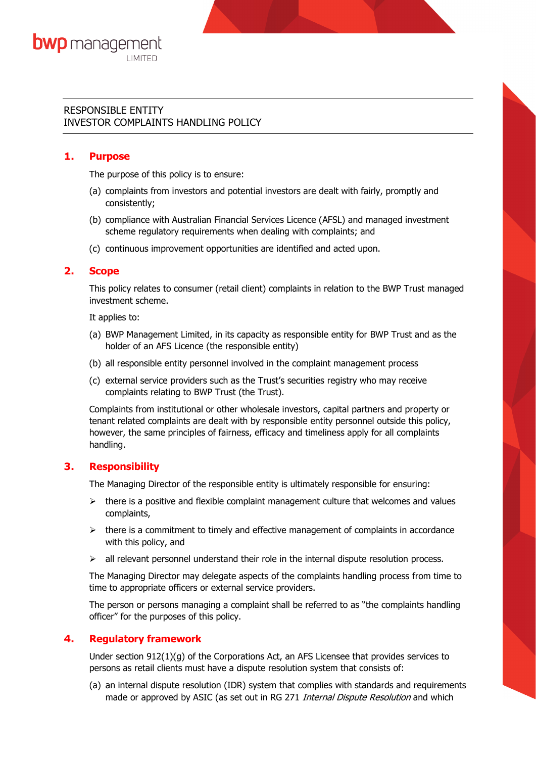# RESPONSIBLE ENTITY INVESTOR COMPLAINTS HANDLING POLICY

# **1. Purpose**

The purpose of this policy is to ensure:

- (a) complaints from investors and potential investors are dealt with fairly, promptly and consistently;
- (b) compliance with Australian Financial Services Licence (AFSL) and managed investment scheme regulatory requirements when dealing with complaints; and
- (c) continuous improvement opportunities are identified and acted upon.

### **2. Scope**

This policy relates to consumer (retail client) complaints in relation to the BWP Trust managed investment scheme.

It applies to:

- (a) BWP Management Limited, in its capacity as responsible entity for BWP Trust and as the holder of an AFS Licence (the responsible entity)
- (b) all responsible entity personnel involved in the complaint management process
- (c) external service providers such as the Trust's securities registry who may receive complaints relating to BWP Trust (the Trust).

Complaints from institutional or other wholesale investors, capital partners and property or tenant related complaints are dealt with by responsible entity personnel outside this policy, however, the same principles of fairness, efficacy and timeliness apply for all complaints handling.

# **3. Responsibility**

The Managing Director of the responsible entity is ultimately responsible for ensuring:

- $\triangleright$  there is a positive and flexible complaint management culture that welcomes and values complaints,
- $\triangleright$  there is a commitment to timely and effective management of complaints in accordance with this policy, and
- $\triangleright$  all relevant personnel understand their role in the internal dispute resolution process.

The Managing Director may delegate aspects of the complaints handling process from time to time to appropriate officers or external service providers.

The person or persons managing a complaint shall be referred to as "the complaints handling officer" for the purposes of this policy.

# **4. Regulatory framework**

Under section  $912(1)(g)$  of the Corporations Act, an AFS Licensee that provides services to persons as retail clients must have a dispute resolution system that consists of:

(a) an internal dispute resolution (IDR) system that complies with standards and requirements made or approved by ASIC (as set out in RG 271 Internal Dispute Resolution and which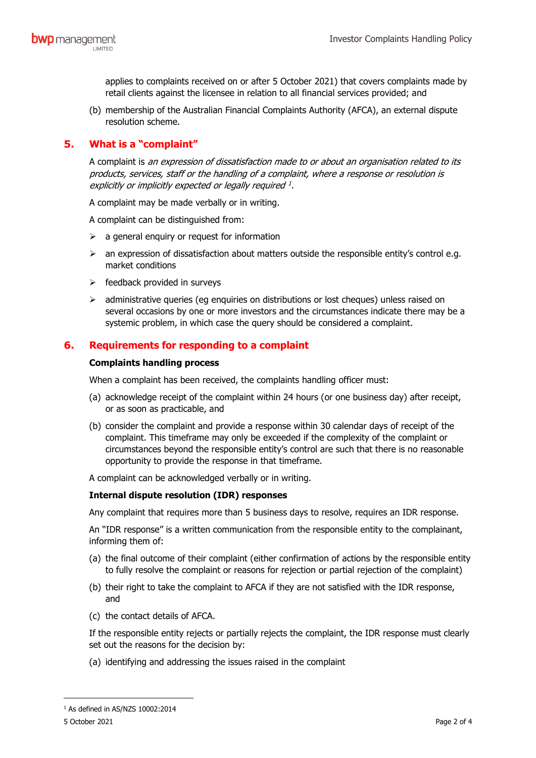applies to complaints received on or after 5 October 2021) that covers complaints made by retail clients against the licensee in relation to all financial services provided; and

(b) membership of the Australian Financial Complaints Authority (AFCA), an external dispute resolution scheme.

# **5. What is a "complaint"**

A complaint is an expression of dissatisfaction made to or about an organisation related to its products, services, staff or the handling of a complaint, where a response or resolution is explicitly or implicitly expected or legally required <sup>[1](#page-1-0)</sup>.

A complaint may be made verbally or in writing.

A complaint can be distinguished from:

- $\triangleright$  a general enquiry or request for information
- $\triangleright$  an expression of dissatisfaction about matters outside the responsible entity's control e.g. market conditions
- $\triangleright$  feedback provided in survevs
- $\triangleright$  administrative queries (eg enquiries on distributions or lost cheques) unless raised on several occasions by one or more investors and the circumstances indicate there may be a systemic problem, in which case the query should be considered a complaint.

# **6. Requirements for responding to a complaint**

#### **Complaints handling process**

When a complaint has been received, the complaints handling officer must:

- (a) acknowledge receipt of the complaint within 24 hours (or one business day) after receipt, or as soon as practicable, and
- (b) consider the complaint and provide a response within 30 calendar days of receipt of the complaint. This timeframe may only be exceeded if the complexity of the complaint or circumstances beyond the responsible entity's control are such that there is no reasonable opportunity to provide the response in that timeframe.

A complaint can be acknowledged verbally or in writing.

### **Internal dispute resolution (IDR) responses**

Any complaint that requires more than 5 business days to resolve, requires an IDR response.

An "IDR response" is a written communication from the responsible entity to the complainant, informing them of:

- (a) the final outcome of their complaint (either confirmation of actions by the responsible entity to fully resolve the complaint or reasons for rejection or partial rejection of the complaint)
- (b) their right to take the complaint to AFCA if they are not satisfied with the IDR response, and
- (c) the contact details of AFCA.

If the responsible entity rejects or partially rejects the complaint, the IDR response must clearly set out the reasons for the decision by:

(a) identifying and addressing the issues raised in the complaint

<span id="page-1-0"></span> $1$  As defined in AS/NZS 10002:2014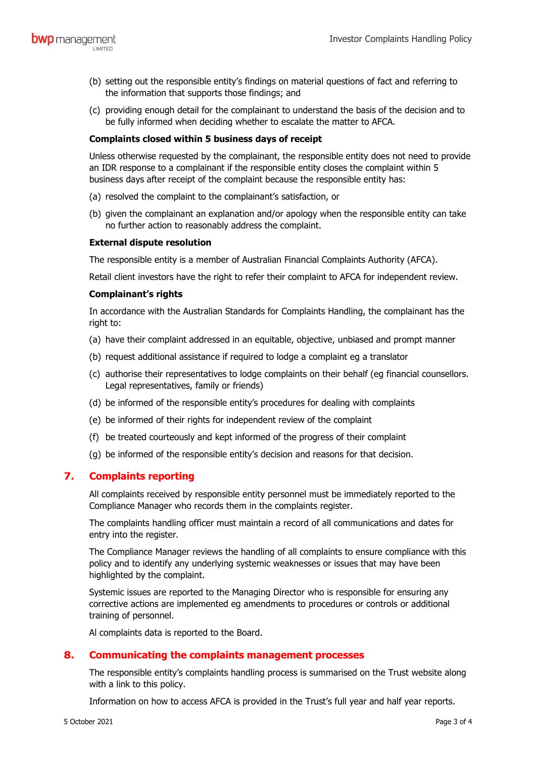- (b) setting out the responsible entity's findings on material questions of fact and referring to the information that supports those findings; and
- (c) providing enough detail for the complainant to understand the basis of the decision and to be fully informed when deciding whether to escalate the matter to AFCA.

#### **Complaints closed within 5 business days of receipt**

Unless otherwise requested by the complainant, the responsible entity does not need to provide an IDR response to a complainant if the responsible entity closes the complaint within 5 business days after receipt of the complaint because the responsible entity has:

- (a) resolved the complaint to the complainant's satisfaction, or
- (b) given the complainant an explanation and/or apology when the responsible entity can take no further action to reasonably address the complaint.

#### **External dispute resolution**

The responsible entity is a member of Australian Financial Complaints Authority (AFCA).

Retail client investors have the right to refer their complaint to AFCA for independent review.

#### **Complainant's rights**

In accordance with the Australian Standards for Complaints Handling, the complainant has the right to:

- (a) have their complaint addressed in an equitable, objective, unbiased and prompt manner
- (b) request additional assistance if required to lodge a complaint eg a translator
- (c) authorise their representatives to lodge complaints on their behalf (eg financial counsellors. Legal representatives, family or friends)
- (d) be informed of the responsible entity's procedures for dealing with complaints
- (e) be informed of their rights for independent review of the complaint
- (f) be treated courteously and kept informed of the progress of their complaint
- (g) be informed of the responsible entity's decision and reasons for that decision.

### **7. Complaints reporting**

All complaints received by responsible entity personnel must be immediately reported to the Compliance Manager who records them in the complaints register.

The complaints handling officer must maintain a record of all communications and dates for entry into the register.

The Compliance Manager reviews the handling of all complaints to ensure compliance with this policy and to identify any underlying systemic weaknesses or issues that may have been highlighted by the complaint.

Systemic issues are reported to the Managing Director who is responsible for ensuring any corrective actions are implemented eg amendments to procedures or controls or additional training of personnel.

Al complaints data is reported to the Board.

### **8. Communicating the complaints management processes**

The responsible entity's complaints handling process is summarised on the Trust website along with a link to this policy.

Information on how to access AFCA is provided in the Trust's full year and half year reports.